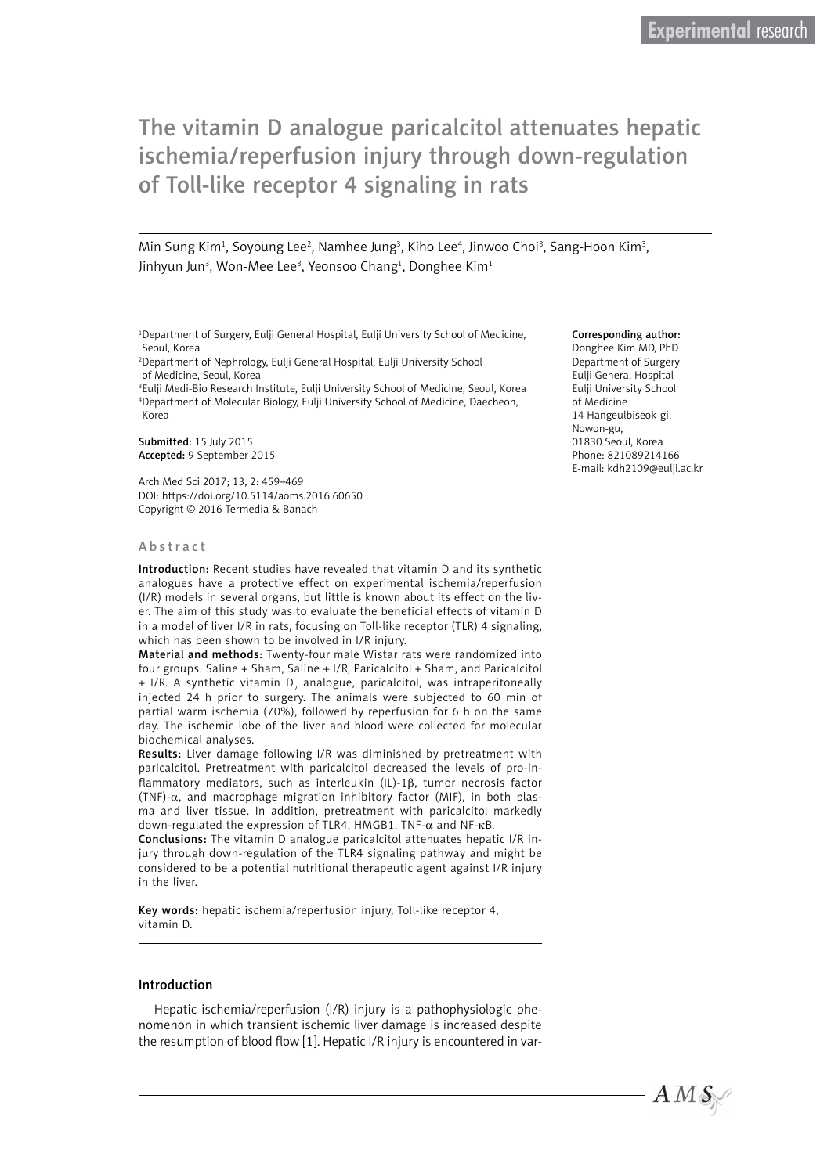Min Sung Kim<sup>1</sup>, Soyoung Lee<sup>2</sup>, Namhee Jung<sup>3</sup>, Kiho Lee<sup>4</sup>, Jinwoo Choi<sup>3</sup>, Sang-Hoon Kim<sup>3</sup>, Jinhyun Jun<sup>3</sup>, Won-Mee Lee<sup>3</sup>, Yeonsoo Chang<sup>1</sup>, Donghee Kim<sup>1</sup>

1 Department of Surgery, Eulji General Hospital, Eulji University School of Medicine, Seoul, Korea

2 Department of Nephrology, Eulji General Hospital, Eulji University School of Medicine, Seoul, Korea

3 Eulji Medi-Bio Research Institute, Eulji University School of Medicine, Seoul, Korea 4 Department of Molecular Biology, Eulji University School of Medicine, Daecheon, Korea

Submitted: 15 July 2015 Accepted: 9 September 2015

Arch Med Sci 2017; 13, 2: 459–469 DOI: https://doi.org/10.5114/aoms.2016.60650 Copyright © 2016 Termedia & Banach

#### Abstract

Introduction: Recent studies have revealed that vitamin D and its synthetic analogues have a protective effect on experimental ischemia/reperfusion (I/R) models in several organs, but little is known about its effect on the liver. The aim of this study was to evaluate the beneficial effects of vitamin D in a model of liver I/R in rats, focusing on Toll-like receptor (TLR) 4 signaling, which has been shown to be involved in I/R injury.

Material and methods: Twenty-four male Wistar rats were randomized into four groups: Saline + Sham, Saline + I/R, Paricalcitol + Sham, and Paricalcitol + I/R. A synthetic vitamin D $_{\textrm{\tiny{2}}}$  analogue, paricalcitol, was intraperitoneally injected 24 h prior to surgery. The animals were subjected to 60 min of partial warm ischemia (70%), followed by reperfusion for 6 h on the same day. The ischemic lobe of the liver and blood were collected for molecular biochemical analyses.

Results: Liver damage following I/R was diminished by pretreatment with paricalcitol. Pretreatment with paricalcitol decreased the levels of pro-inflammatory mediators, such as interleukin (IL)-1β, tumor necrosis factor (TNF)-α, and macrophage migration inhibitory factor (MIF), in both plasma and liver tissue. In addition, pretreatment with paricalcitol markedly down-regulated the expression of TLR4, HMGB1, TNF-α and NF-κB.

Conclusions: The vitamin D analogue paricalcitol attenuates hepatic I/R injury through down-regulation of the TLR4 signaling pathway and might be considered to be a potential nutritional therapeutic agent against I/R injury in the liver.

Key words: hepatic ischemia/reperfusion injury, Toll-like receptor 4, vitamin D.

### Introduction

Hepatic ischemia/reperfusion (I/R) injury is a pathophysiologic phenomenon in which transient ischemic liver damage is increased despite the resumption of blood flow [1]. Hepatic I/R injury is encountered in var-

#### Corresponding author:

Donghee Kim MD, PhD Department of Surgery Eulji General Hospital Eulji University School of Medicine 14 Hangeulbiseok-gil Nowon-gu, 01830 Seoul, Korea Phone: 821089214166 E-mail: kdh2109@eulji.ac.kr

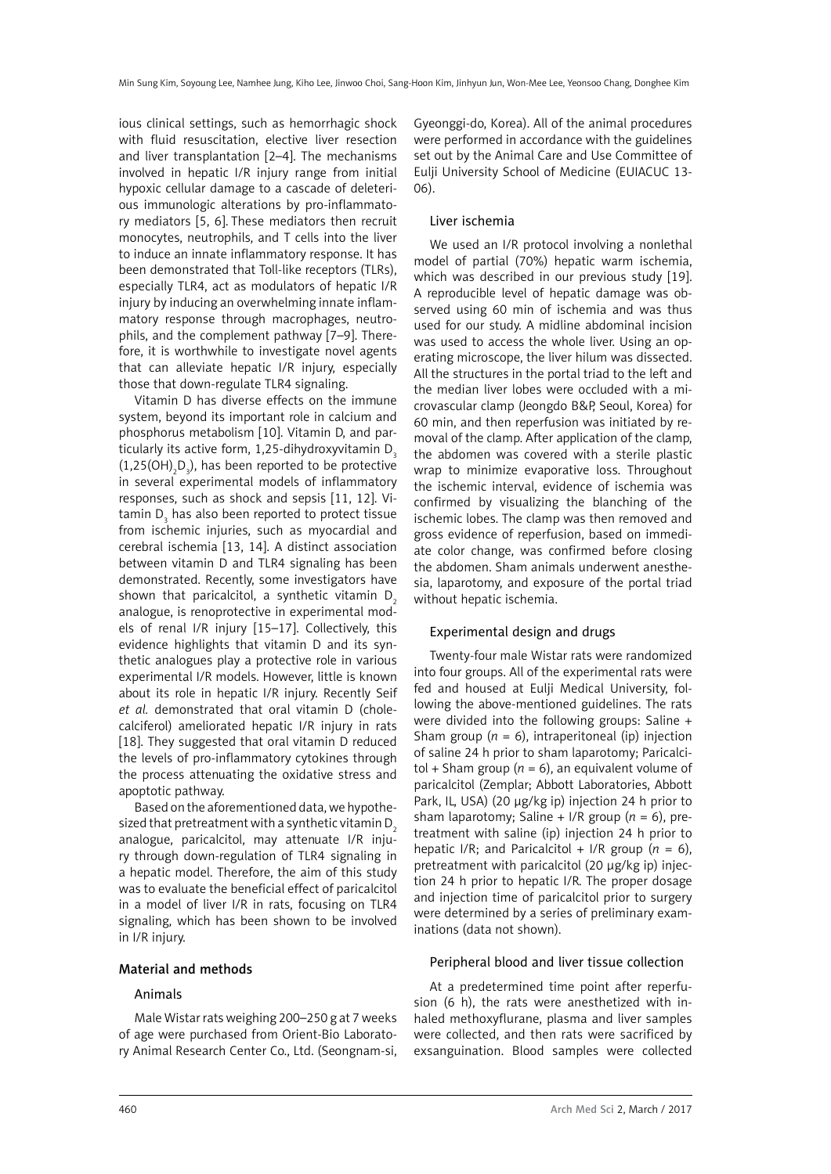ious clinical settings, such as hemorrhagic shock with fluid resuscitation, elective liver resection and liver transplantation [2–4]. The mechanisms involved in hepatic I/R injury range from initial hypoxic cellular damage to a cascade of deleterious immunologic alterations by pro-inflammatory mediators [5, 6]. These mediators then recruit monocytes, neutrophils, and T cells into the liver to induce an innate inflammatory response. It has been demonstrated that Toll-like receptors (TLRs), especially TLR4, act as modulators of hepatic I/R injury by inducing an overwhelming innate inflammatory response through macrophages, neutrophils, and the complement pathway [7–9]. Therefore, it is worthwhile to investigate novel agents that can alleviate hepatic I/R injury, especially those that down-regulate TLR4 signaling.

Vitamin D has diverse effects on the immune system, beyond its important role in calcium and phosphorus metabolism [10]. Vitamin D, and particularly its active form,  $1,25$ -dihydroxyvitamin  $D<sub>3</sub>$  $(1,25(OH)_{2}D_{3})$ , has been reported to be protective in several experimental models of inflammatory responses, such as shock and sepsis [11, 12]. Vitamin D $_{\tiny 3}$  has also been reported to protect tissue from ischemic injuries, such as myocardial and cerebral ischemia [13, 14]. A distinct association between vitamin D and TLR4 signaling has been demonstrated. Recently, some investigators have shown that paricalcitol, a synthetic vitamin  $D<sub>2</sub>$ analogue, is renoprotective in experimental models of renal I/R injury [15–17]. Collectively, this evidence highlights that vitamin D and its synthetic analogues play a protective role in various experimental I/R models. However, little is known about its role in hepatic I/R injury. Recently Seif *et al.* demonstrated that oral vitamin D (cholecalciferol) ameliorated hepatic I/R injury in rats [18]. They suggested that oral vitamin D reduced the levels of pro-inflammatory cytokines through the process attenuating the oxidative stress and apoptotic pathway.

Based on the aforementioned data, we hypothesized that pretreatment with a synthetic vitamin  $D<sub>2</sub>$ analogue, paricalcitol, may attenuate I/R injury through down-regulation of TLR4 signaling in a hepatic model. Therefore, the aim of this study was to evaluate the beneficial effect of paricalcitol in a model of liver I/R in rats, focusing on TLR4 signaling, which has been shown to be involved in I/R injury.

### Material and methods

### Animals

Male Wistar rats weighing 200–250 g at 7 weeks of age were purchased from Orient-Bio Laboratory Animal Research Center Co., Ltd. (Seongnam-si, Gyeonggi-do, Korea). All of the animal procedures were performed in accordance with the guidelines set out by the Animal Care and Use Committee of Eulji University School of Medicine (EUIACUC 13- 06).

## Liver ischemia

We used an I/R protocol involving a nonlethal model of partial (70%) hepatic warm ischemia, which was described in our previous study [19]. A reproducible level of hepatic damage was observed using 60 min of ischemia and was thus used for our study. A midline abdominal incision was used to access the whole liver. Using an operating microscope, the liver hilum was dissected. All the structures in the portal triad to the left and the median liver lobes were occluded with a microvascular clamp (Jeongdo B&P, Seoul, Korea) for 60 min, and then reperfusion was initiated by removal of the clamp. After application of the clamp, the abdomen was covered with a sterile plastic wrap to minimize evaporative loss. Throughout the ischemic interval, evidence of ischemia was confirmed by visualizing the blanching of the ischemic lobes. The clamp was then removed and gross evidence of reperfusion, based on immediate color change, was confirmed before closing the abdomen. Sham animals underwent anesthesia, laparotomy, and exposure of the portal triad without hepatic ischemia.

## Experimental design and drugs

Twenty-four male Wistar rats were randomized into four groups. All of the experimental rats were fed and housed at Eulji Medical University, following the above-mentioned guidelines. The rats were divided into the following groups: Saline + Sham group  $(n = 6)$ , intraperitoneal (ip) injection of saline 24 h prior to sham laparotomy; Paricalcitol + Sham group ( $n = 6$ ), an equivalent volume of paricalcitol (Zemplar; Abbott Laboratories, Abbott Park, IL, USA) (20 μg/kg ip) injection 24 h prior to sham laparotomy; Saline +  $I/R$  group ( $n = 6$ ), pretreatment with saline (ip) injection 24 h prior to hepatic I/R; and Paricalcitol + I/R group  $(n = 6)$ , pretreatment with paricalcitol (20 μg/kg ip) injection 24 h prior to hepatic I/R. The proper dosage and injection time of paricalcitol prior to surgery were determined by a series of preliminary examinations (data not shown).

## Peripheral blood and liver tissue collection

At a predetermined time point after reperfusion (6 h), the rats were anesthetized with inhaled methoxyflurane, plasma and liver samples were collected, and then rats were sacrificed by exsanguination. Blood samples were collected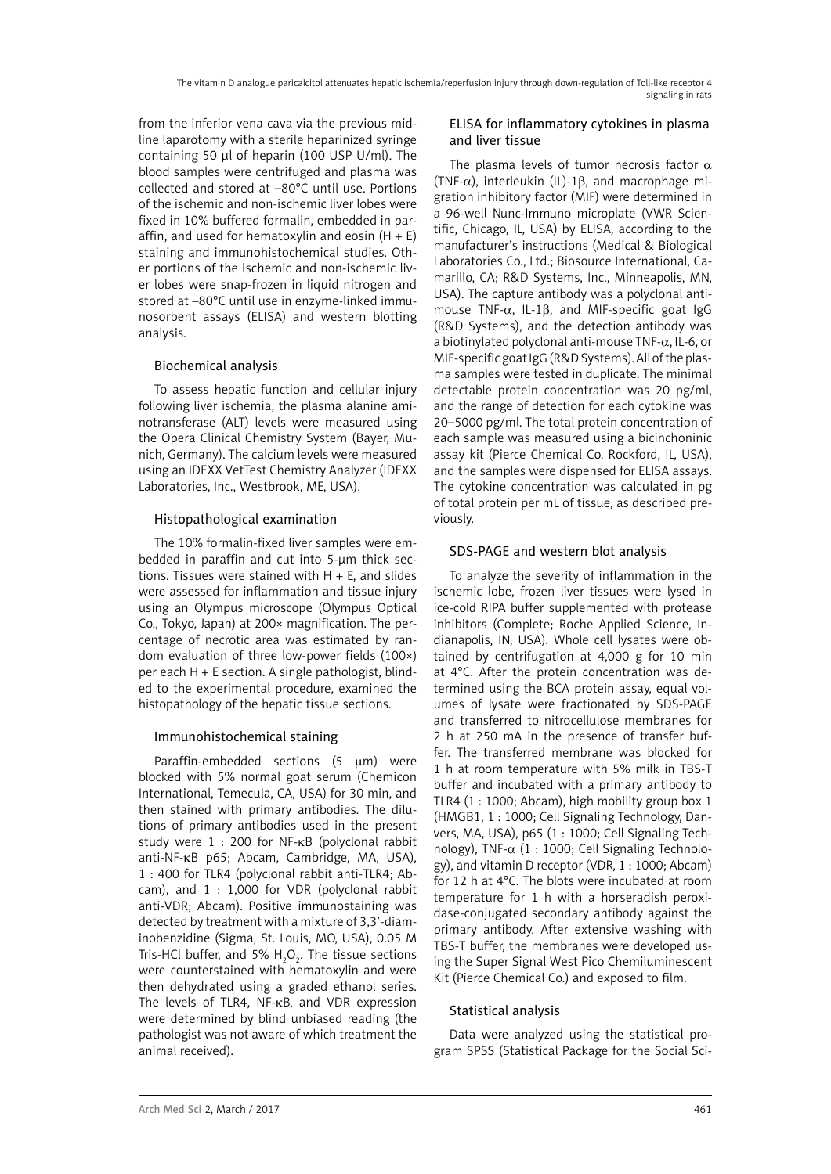from the inferior vena cava via the previous midline laparotomy with a sterile heparinized syringe containing 50 μl of heparin (100 USP U/ml). The blood samples were centrifuged and plasma was collected and stored at –80°C until use. Portions of the ischemic and non-ischemic liver lobes were fixed in 10% buffered formalin, embedded in paraffin, and used for hematoxylin and eosin  $(H + E)$ staining and immunohistochemical studies. Other portions of the ischemic and non-ischemic liver lobes were snap-frozen in liquid nitrogen and stored at –80°C until use in enzyme-linked immunosorbent assays (ELISA) and western blotting analysis.

# Biochemical analysis

To assess hepatic function and cellular injury following liver ischemia, the plasma alanine aminotransferase (ALT) levels were measured using the Opera Clinical Chemistry System (Bayer, Munich, Germany). The calcium levels were measured using an IDEXX VetTest Chemistry Analyzer (IDEXX Laboratories, Inc., Westbrook, ME, USA).

# Histopathological examination

The 10% formalin-fixed liver samples were embedded in paraffin and cut into 5-μm thick sections. Tissues were stained with H + E, and slides were assessed for inflammation and tissue injury using an Olympus microscope (Olympus Optical Co., Tokyo, Japan) at 200× magnification. The percentage of necrotic area was estimated by random evaluation of three low-power fields (100×) per each H + E section. A single pathologist, blinded to the experimental procedure, examined the histopathology of the hepatic tissue sections.

# Immunohistochemical staining

Paraffin-embedded sections  $(5 \mu m)$  were blocked with 5% normal goat serum (Chemicon International, Temecula, CA, USA) for 30 min, and then stained with primary antibodies. The dilutions of primary antibodies used in the present study were 1 : 200 for NF-κB (polyclonal rabbit anti-NF-κB p65; Abcam, Cambridge, MA, USA), 1 : 400 for TLR4 (polyclonal rabbit anti-TLR4; Abcam), and 1 : 1,000 for VDR (polyclonal rabbit anti-VDR; Abcam). Positive immunostaining was detected by treatment with a mixture of 3,3′-diaminobenzidine (Sigma, St. Louis, MO, USA), 0.05 M Tris-HCl buffer, and 5%  $H_2O_2$ . The tissue sections were counterstained with hematoxylin and were then dehydrated using a graded ethanol series. The levels of TLR4, NF-κB, and VDR expression were determined by blind unbiased reading (the pathologist was not aware of which treatment the animal received).

# ELISA for inflammatory cytokines in plasma and liver tissue

The plasma levels of tumor necrosis factor  $\alpha$ (TNF- $\alpha$ ), interleukin (IL)-1 $\beta$ , and macrophage migration inhibitory factor (MIF) were determined in a 96-well Nunc-Immuno microplate (VWR Scientific, Chicago, IL, USA) by ELISA, according to the manufacturer's instructions (Medical & Biological Laboratories Co., Ltd.; Biosource International, Camarillo, CA; R&D Systems, Inc., Minneapolis, MN, USA). The capture antibody was a polyclonal antimouse TNF- $\alpha$ , IL-1β, and MIF-specific goat IgG (R&D Systems), and the detection antibody was a biotinylated polyclonal anti-mouse TNF-α, IL-6, or MIF-specific goat IgG (R&D Systems). All of the plasma samples were tested in duplicate. The minimal detectable protein concentration was 20 pg/ml, and the range of detection for each cytokine was 20–5000 pg/ml. The total protein concentration of each sample was measured using a bicinchoninic assay kit (Pierce Chemical Co. Rockford, IL, USA), and the samples were dispensed for ELISA assays. The cytokine concentration was calculated in pg of total protein per mL of tissue, as described previously.

# SDS-PAGE and western blot analysis

To analyze the severity of inflammation in the ischemic lobe, frozen liver tissues were lysed in ice-cold RIPA buffer supplemented with protease inhibitors (Complete; Roche Applied Science, Indianapolis, IN, USA). Whole cell lysates were obtained by centrifugation at 4,000 g for 10 min at 4°C. After the protein concentration was determined using the BCA protein assay, equal volumes of lysate were fractionated by SDS-PAGE and transferred to nitrocellulose membranes for 2 h at 250 mA in the presence of transfer buffer. The transferred membrane was blocked for 1 h at room temperature with 5% milk in TBS-T buffer and incubated with a primary antibody to TLR4 (1 : 1000; Abcam), high mobility group box 1 (HMGB1, 1 : 1000; Cell Signaling Technology, Danvers, MA, USA), p65 (1 : 1000; Cell Signaling Technology), TNF-α (1 : 1000; Cell Signaling Technology), and vitamin D receptor (VDR, 1 : 1000; Abcam) for 12 h at 4°C. The blots were incubated at room temperature for 1 h with a horseradish peroxidase-conjugated secondary antibody against the primary antibody. After extensive washing with TBS-T buffer, the membranes were developed using the Super Signal West Pico Chemiluminescent Kit (Pierce Chemical Co.) and exposed to film.

# Statistical analysis

Data were analyzed using the statistical program SPSS (Statistical Package for the Social Sci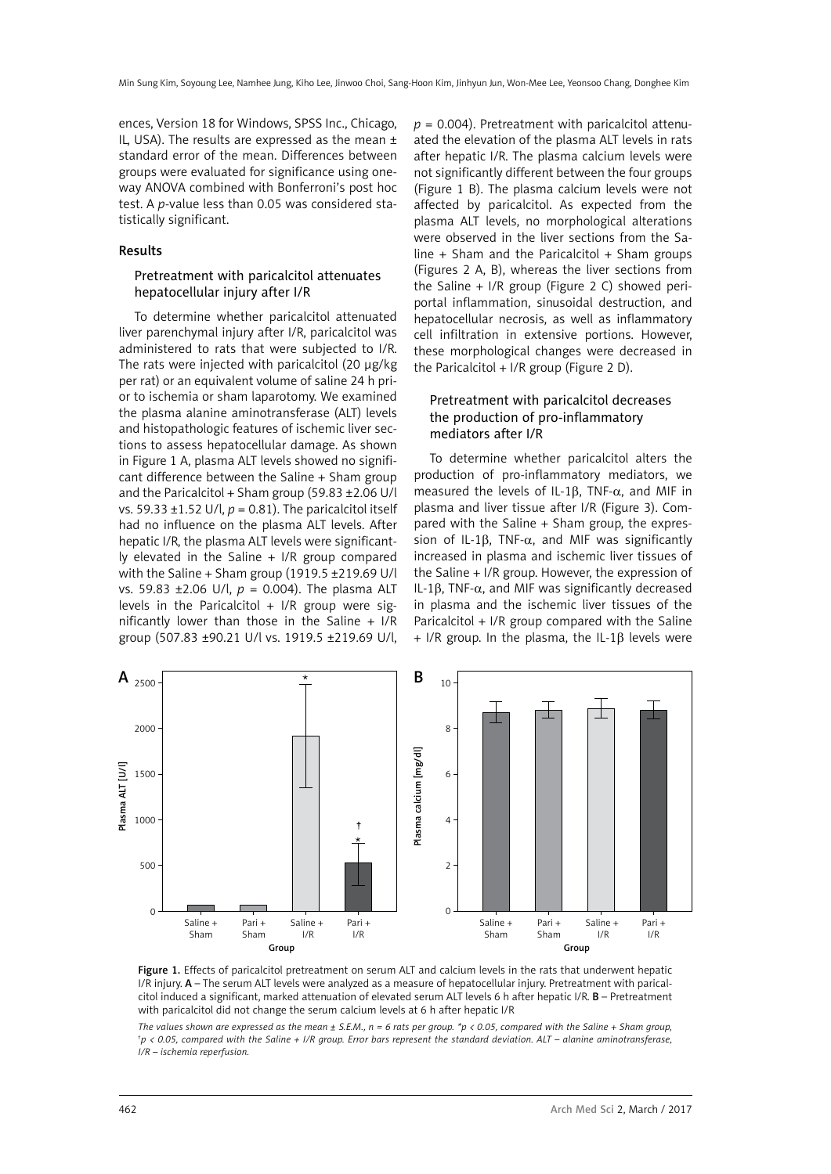ences, Version 18 for Windows, SPSS Inc., Chicago, IL, USA). The results are expressed as the mean  $\pm$ standard error of the mean. Differences between groups were evaluated for significance using oneway ANOVA combined with Bonferroni's post hoc test. A *p*-value less than 0.05 was considered statistically significant.

## Results

## Pretreatment with paricalcitol attenuates hepatocellular injury after I/R

To determine whether paricalcitol attenuated liver parenchymal injury after I/R, paricalcitol was administered to rats that were subjected to I/R. The rats were injected with paricalcitol (20 μg/kg per rat) or an equivalent volume of saline 24 h prior to ischemia or sham laparotomy. We examined the plasma alanine aminotransferase (ALT) levels and histopathologic features of ischemic liver sections to assess hepatocellular damage. As shown in Figure 1 A, plasma ALT levels showed no significant difference between the Saline + Sham group and the Paricalcitol + Sham group (59.83  $\pm$ 2.06 U/l vs. 59.33 ±1.52 U/l, *p* = 0.81). The paricalcitol itself had no influence on the plasma ALT levels. After hepatic I/R, the plasma ALT levels were significantly elevated in the Saline + I/R group compared with the Saline + Sham group (1919.5 ±219.69 U/l vs. 59.83 ±2.06 U/l, *p* = 0.004). The plasma ALT levels in the Paricalcitol  $+$  I/R group were significantly lower than those in the Saline  $+$  I/R group (507.83 ±90.21 U/l vs. 1919.5 ±219.69 U/l,  $p = 0.004$ ). Pretreatment with paricalcitol attenuated the elevation of the plasma ALT levels in rats after hepatic I/R. The plasma calcium levels were not significantly different between the four groups (Figure 1 B). The plasma calcium levels were not affected by paricalcitol. As expected from the plasma ALT levels, no morphological alterations were observed in the liver sections from the Saline  $+$  Sham and the Paricalcitol  $+$  Sham groups (Figures 2 A, B), whereas the liver sections from the Saline + I/R group (Figure 2 C) showed periportal inflammation, sinusoidal destruction, and hepatocellular necrosis, as well as inflammatory cell infiltration in extensive portions. However, these morphological changes were decreased in the Paricalcitol  $+ I/R$  group (Figure 2 D).

## Pretreatment with paricalcitol decreases the production of pro-inflammatory mediators after I/R

To determine whether paricalcitol alters the production of pro-inflammatory mediators, we measured the levels of IL-1 $\beta$ , TNF- $\alpha$ , and MIF in plasma and liver tissue after I/R (Figure 3). Compared with the Saline + Sham group, the expression of IL-1β, TNF- $\alpha$ , and MIF was significantly increased in plasma and ischemic liver tissues of the Saline + I/R group. However, the expression of IL-1β, TNF-α, and MIF was significantly decreased in plasma and the ischemic liver tissues of the Paricalcitol + I/R group compared with the Saline + I/R group. In the plasma, the IL-1β levels were



Figure 1. Effects of paricalcitol pretreatment on serum ALT and calcium levels in the rats that underwent hepatic I/R injury. A – The serum ALT levels were analyzed as a measure of hepatocellular injury. Pretreatment with paricalcitol induced a significant, marked attenuation of elevated serum ALT levels 6 h after hepatic I/R. B - Pretreatment with paricalcitol did not change the serum calcium levels at 6 h after hepatic I/R

*The values shown are expressed as the mean ± S.E.M., n = 6 rats per group. \*p < 0.05, compared with the Saline + Sham group, † p < 0.05, compared with the Saline + I/R group. Error bars represent the standard deviation. ALT – alanine aminotransferase, I/R – ischemia reperfusion.*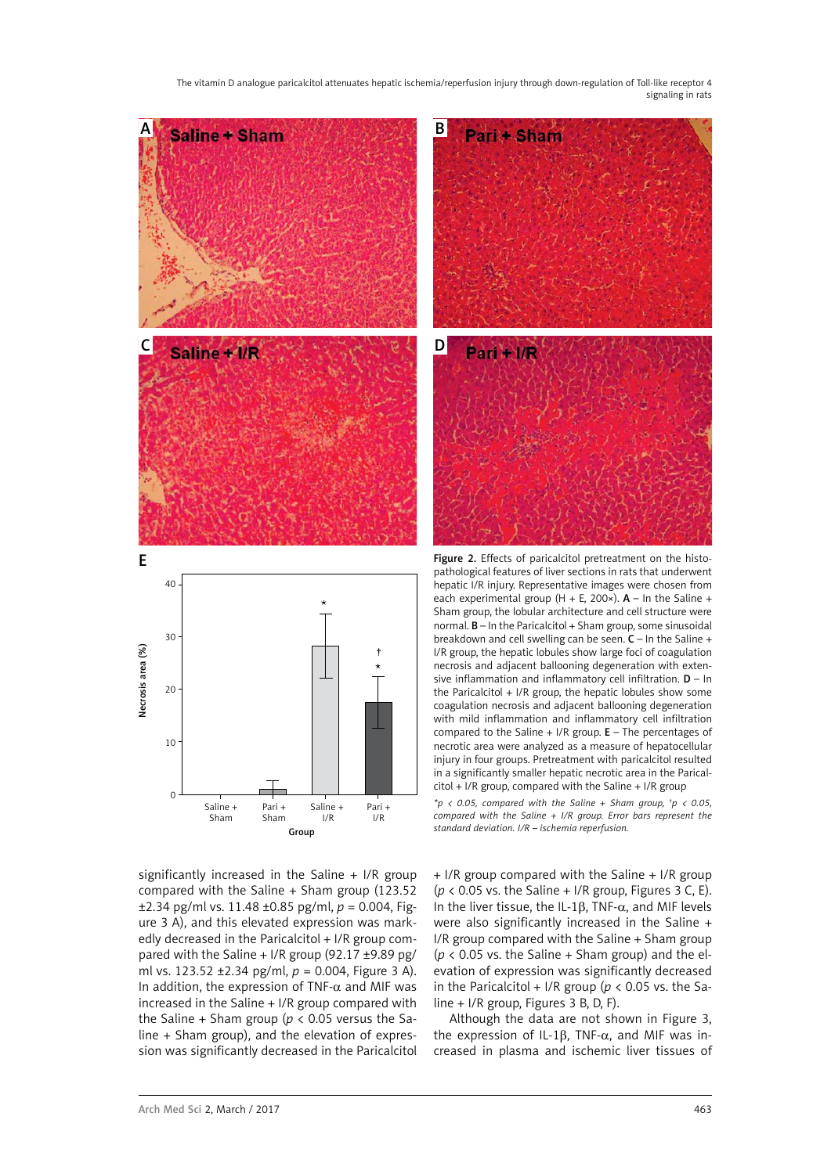

significantly increased in the Saline  $+$  I/R group compared with the Saline + Sham group (123.52 ±2.34 pg/ml vs. 11.48 ±0.85 pg/ml, *p* = 0.004, Figure 3 A), and this elevated expression was markedly decreased in the Paricalcitol + I/R group compared with the Saline  $+$  I/R group (92.17  $\pm$ 9.89 pg/ ml vs. 123.52 ±2.34 pg/ml, *p* = 0.004, Figure 3 A). In addition, the expression of TNF- $\alpha$  and MIF was increased in the Saline + I/R group compared with the Saline + Sham group ( $p < 0.05$  versus the Saline + Sham group), and the elevation of expression was significantly decreased in the Paricalcitol

+ I/R group compared with the Saline + I/R group ( $p$  < 0.05 vs. the Saline + I/R group, Figures 3 C, E). In the liver tissue, the IL-1β, TNF-α, and MIF levels were also significantly increased in the Saline + I/R group compared with the Saline + Sham group  $(p < 0.05$  vs. the Saline  $+$  Sham group) and the elevation of expression was significantly decreased in the Paricalcitol + I/R group ( $p < 0.05$  vs. the Saline + I/R group, Figures 3 B, D, F).

Although the data are not shown in Figure 3, the expression of IL-1β, TNF- $α$ , and MIF was increased in plasma and ischemic liver tissues of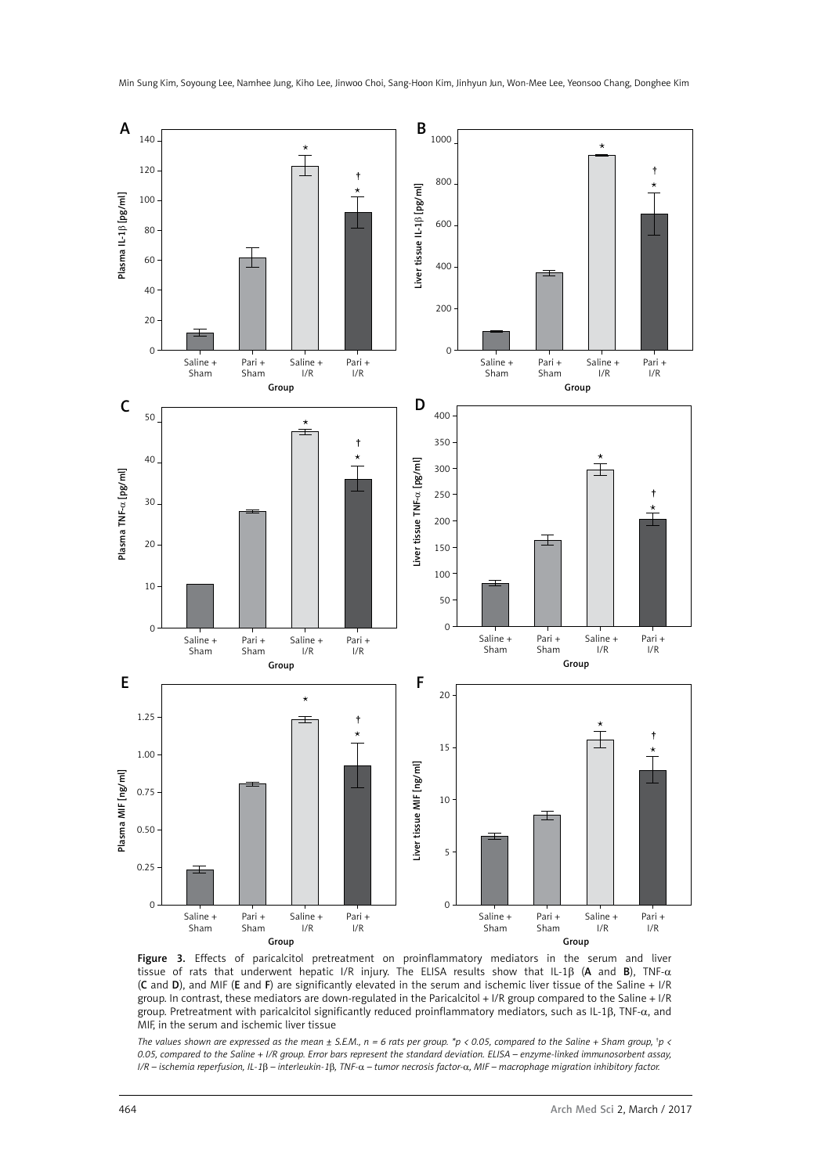

Figure 3. Effects of paricalcitol pretreatment on proinflammatory mediators in the serum and liver tissue of rats that underwent hepatic I/R injury. The ELISA results show that IL-1β (A and B), TNF-α (C and D), and MIF (E and F) are significantly elevated in the serum and ischemic liver tissue of the Saline + I/R group. In contrast, these mediators are down-regulated in the Paricalcitol + I/R group compared to the Saline + I/R group. Pretreatment with paricalcitol significantly reduced proinflammatory mediators, such as IL-1β, TNF-α, and MIF, in the serum and ischemic liver tissue

The values shown are expressed as the mean  $\pm$  S.E.M.,  $n = 6$  rats per group. \*p < 0.05, compared to the Saline + Sham group, \*p < *0.05, compared to the Saline + I/R group. Error bars represent the standard deviation. ELISA – enzyme-linked immunosorbent assay, I/R – ischemia reperfusion, IL-1*β *– interleukin-1*β*, TNF-*α *– tumor necrosis factor-*α*, MIF – macrophage migration inhibitory factor.*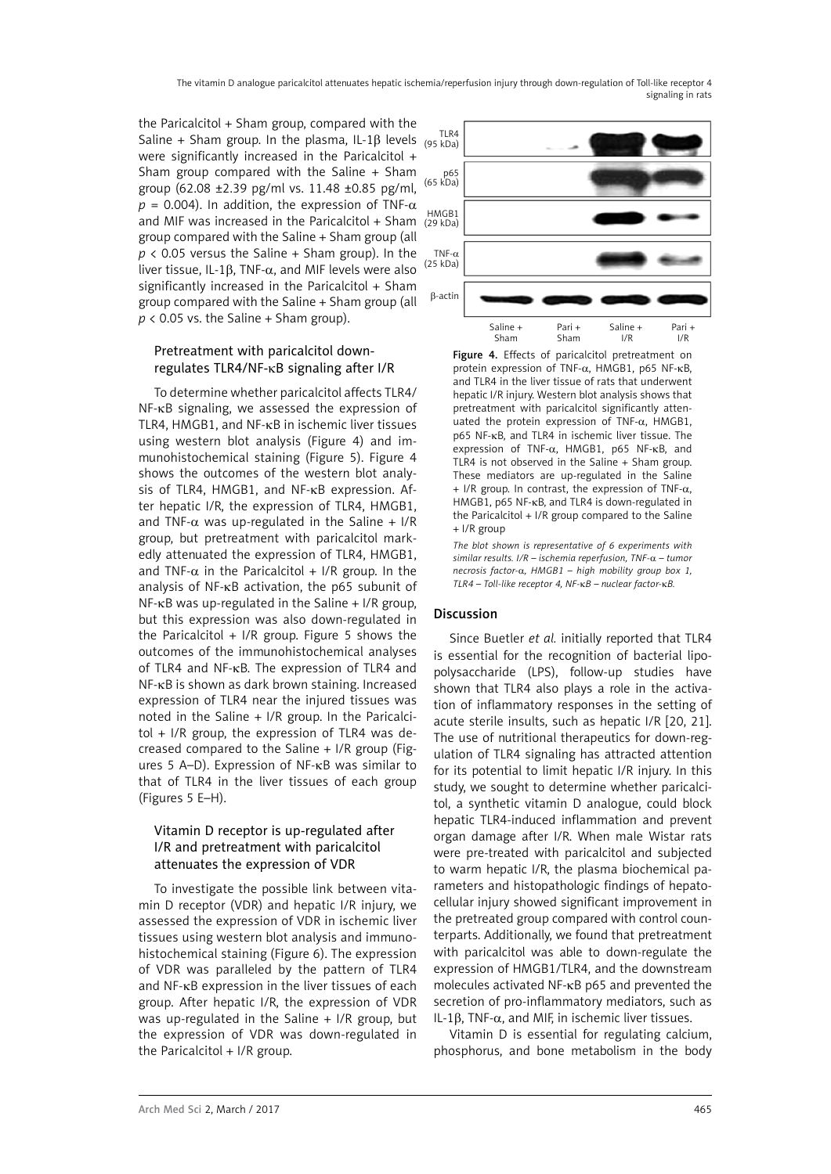the Paricalcitol  $+$  Sham group, compared with the Saline + Sham group. In the plasma, IL-1 $\beta$  levels were significantly increased in the Paricalcitol + Sham group compared with the Saline + Sham group (62.08 ±2.39 pg/ml vs. 11.48 ±0.85 pg/ml,  $p = 0.004$ ). In addition, the expression of TNF- $\alpha$ and MIF was increased in the Paricalcitol + Sham group compared with the Saline + Sham group (all  $p \lt 0.05$  versus the Saline + Sham group). In the liver tissue, IL-1β, TNF-α, and MIF levels were also significantly increased in the Paricalcitol + Sham group compared with the Saline + Sham group (all  $p$  < 0.05 vs. the Saline + Sham group).

# Pretreatment with paricalcitol downregulates TLR4/NF-κB signaling after I/R

To determine whether paricalcitol affects TLR4/ NF-κB signaling, we assessed the expression of TLR4, HMGB1, and NF-κB in ischemic liver tissues using western blot analysis (Figure 4) and immunohistochemical staining (Figure 5). Figure 4 shows the outcomes of the western blot analysis of TLR4, HMGB1, and NF-κB expression. After hepatic I/R, the expression of TLR4, HMGB1, and TNF- $\alpha$  was up-regulated in the Saline + I/R group, but pretreatment with paricalcitol markedly attenuated the expression of TLR4, HMGB1, and TNF- $\alpha$  in the Paricalcitol + I/R group. In the analysis of NF-κB activation, the p65 subunit of  $NF$ - $KB$  was up-regulated in the Saline + I/R group, but this expression was also down-regulated in the Paricalcitol + I/R group. Figure 5 shows the outcomes of the immunohistochemical analyses of TLR4 and NF-κB. The expression of TLR4 and NF-κB is shown as dark brown staining. Increased expression of TLR4 near the injured tissues was noted in the Saline + I/R group. In the Paricalcitol + I/R group, the expression of TLR4 was decreased compared to the Saline + I/R group (Figures 5 A–D). Expression of NF-κB was similar to that of TLR4 in the liver tissues of each group (Figures 5 E–H).

# Vitamin D receptor is up-regulated after I/R and pretreatment with paricalcitol attenuates the expression of VDR

To investigate the possible link between vitamin D receptor (VDR) and hepatic I/R injury, we assessed the expression of VDR in ischemic liver tissues using western blot analysis and immunohistochemical staining (Figure 6). The expression of VDR was paralleled by the pattern of TLR4 and NF-κB expression in the liver tissues of each group. After hepatic I/R, the expression of VDR was up-regulated in the Saline  $+$  I/R group, but the expression of VDR was down-regulated in the Paricalcitol + I/R group.



Figure 4. Effects of paricalcitol pretreatment on protein expression of TNF-α, HMGB1, p65 NF-κB, and TLR4 in the liver tissue of rats that underwent hepatic I/R injury. Western blot analysis shows that pretreatment with paricalcitol significantly attenuated the protein expression of TNF-α, HMGB1, p65 NF-κB, and TLR4 in ischemic liver tissue. The expression of TNF-α, HMGB1, p65 NF-κB, and TLR4 is not observed in the Saline + Sham group. These mediators are up-regulated in the Saline  $+$  I/R group. In contrast, the expression of TNF- $\alpha$ , HMGB1, p65 NF-κB, and TLR4 is down-regulated in the Paricalcitol + I/R group compared to the Saline + I/R group

*The blot shown is representative of 6 experiments with similar results. I/R – ischemia reperfusion, TNF-*α *– tumor necrosis factor-*α*, HMGB1 – high mobility group box 1, TLR4 – Toll-like receptor 4, NF-*κ*B – nuclear factor-*κ*B.* 

## Discussion

Since Buetler *et al.* initially reported that TLR4 is essential for the recognition of bacterial lipopolysaccharide (LPS), follow-up studies have shown that TLR4 also plays a role in the activation of inflammatory responses in the setting of acute sterile insults, such as hepatic I/R [20, 21]. The use of nutritional therapeutics for down-regulation of TLR4 signaling has attracted attention for its potential to limit hepatic I/R injury. In this study, we sought to determine whether paricalcitol, a synthetic vitamin D analogue, could block hepatic TLR4-induced inflammation and prevent organ damage after I/R. When male Wistar rats were pre-treated with paricalcitol and subjected to warm hepatic I/R, the plasma biochemical parameters and histopathologic findings of hepatocellular injury showed significant improvement in the pretreated group compared with control counterparts. Additionally, we found that pretreatment with paricalcitol was able to down-regulate the expression of HMGB1/TLR4, and the downstream molecules activated NF-κB p65 and prevented the secretion of pro-inflammatory mediators, such as IL-1 $\beta$ , TNF- $\alpha$ , and MIF, in ischemic liver tissues.

Vitamin D is essential for regulating calcium, phosphorus, and bone metabolism in the body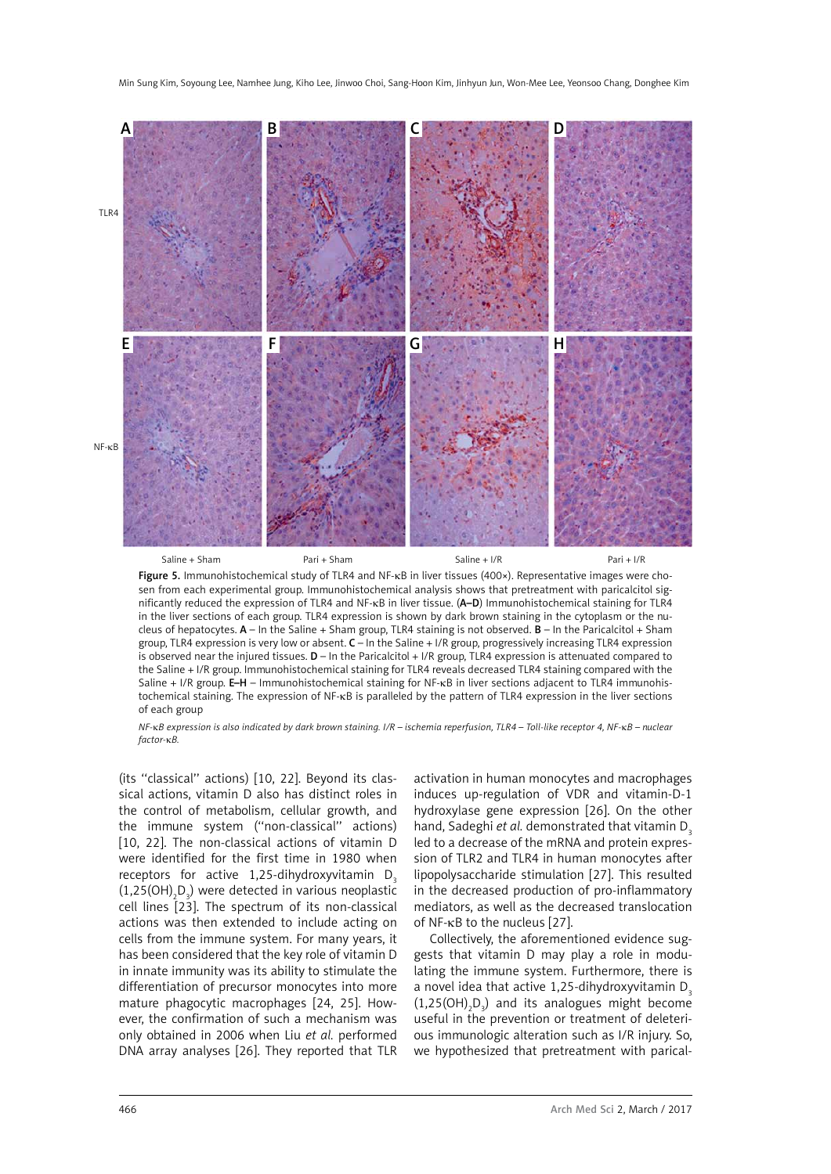

Figure 5. Immunohistochemical study of TLR4 and NF-κB in liver tissues (400×). Representative images were chosen from each experimental group. Immunohistochemical analysis shows that pretreatment with paricalcitol significantly reduced the expression of TLR4 and NF-κB in liver tissue. (A–D) Immunohistochemical staining for TLR4 in the liver sections of each group. TLR4 expression is shown by dark brown staining in the cytoplasm or the nucleus of hepatocytes.  $A - In$  the Saline + Sham group, TLR4 staining is not observed.  $B - In$  the Paricalcitol + Sham group, TLR4 expression is very low or absent. C – In the Saline + I/R group, progressively increasing TLR4 expression is observed near the injured tissues.  $D - \ln$  the Paricalcitol + I/R group, TLR4 expression is attenuated compared to the Saline + I/R group. Immunohistochemical staining for TLR4 reveals decreased TLR4 staining compared with the Saline + I/R group. E–H – Immunohistochemical staining for NF-κB in liver sections adjacent to TLR4 immunohistochemical staining. The expression of NF-κB is paralleled by the pattern of TLR4 expression in the liver sections of each group

*NF-*κ*B expression is also indicated by dark brown staining. I/R – ischemia reperfusion, TLR4 – Toll-like receptor 4, NF-*κ*B – nuclear factor-*κ*B.*

(its ''classical'' actions) [10, 22]. Beyond its classical actions, vitamin D also has distinct roles in the control of metabolism, cellular growth, and the immune system (''non-classical'' actions) [10, 22]. The non-classical actions of vitamin D were identified for the first time in 1980 when receptors for active  $1,25$ -dihydroxyvitamin D<sub>2</sub>  $(1,25(OH)_{2}D_{3})$  were detected in various neoplastic cell lines [23]. The spectrum of its non-classical actions was then extended to include acting on cells from the immune system. For many years, it has been considered that the key role of vitamin D in innate immunity was its ability to stimulate the differentiation of precursor monocytes into more mature phagocytic macrophages [24, 25]. However, the confirmation of such a mechanism was only obtained in 2006 when Liu *et al.* performed DNA array analyses [26]. They reported that TLR

activation in human monocytes and macrophages induces up-regulation of VDR and vitamin-D-1 hydroxylase gene expression [26]. On the other hand, Sadeghi *et al.* demonstrated that vitamin D<sub>3</sub> led to a decrease of the mRNA and protein expression of TLR2 and TLR4 in human monocytes after lipopolysaccharide stimulation [27]. This resulted in the decreased production of pro-inflammatory mediators, as well as the decreased translocation of NF-κB to the nucleus [27].

Collectively, the aforementioned evidence suggests that vitamin D may play a role in modulating the immune system. Furthermore, there is a novel idea that active 1.25-dihydroxyvitamin  $D<sub>s</sub>$  $(1,25(OH)_{2}D_{3})$  and its analogues might become useful in the prevention or treatment of deleterious immunologic alteration such as I/R injury. So, we hypothesized that pretreatment with parical-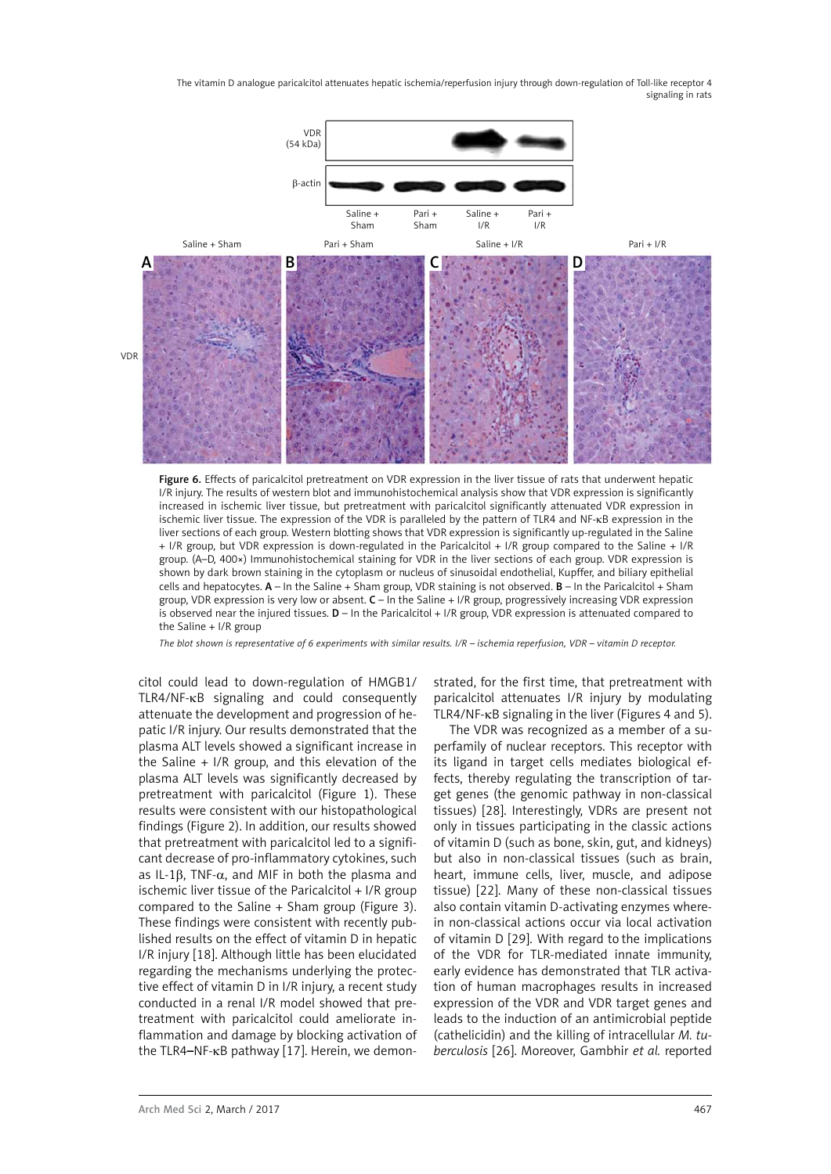

Figure 6. Effects of paricalcitol pretreatment on VDR expression in the liver tissue of rats that underwent hepatic I/R injury. The results of western blot and immunohistochemical analysis show that VDR expression is significantly increased in ischemic liver tissue, but pretreatment with paricalcitol significantly attenuated VDR expression in ischemic liver tissue. The expression of the VDR is paralleled by the pattern of TLR4 and NF-κB expression in the liver sections of each group. Western blotting shows that VDR expression is significantly up-regulated in the Saline + I/R group, but VDR expression is down-regulated in the Paricalcitol + I/R group compared to the Saline + I/R group. (A–D, 400×) Immunohistochemical staining for VDR in the liver sections of each group. VDR expression is shown by dark brown staining in the cytoplasm or nucleus of sinusoidal endothelial, Kupffer, and biliary epithelial cells and hepatocytes. A – In the Saline + Sham group, VDR staining is not observed. B – In the Paricalcitol + Sham group, VDR expression is very low or absent. C – In the Saline + I/R group, progressively increasing VDR expression is observed near the injured tissues.  $D - \ln$  the Paricalcitol + I/R group, VDR expression is attenuated compared to the Saline + I/R group

*The blot shown is representative of 6 experiments with similar results. I/R – ischemia reperfusion, VDR – vitamin D receptor.*

citol could lead to down-regulation of HMGB1/ TLR4/NF-κB signaling and could consequently attenuate the development and progression of hepatic I/R injury. Our results demonstrated that the plasma ALT levels showed a significant increase in the Saline + I/R group, and this elevation of the plasma ALT levels was significantly decreased by pretreatment with paricalcitol (Figure 1). These results were consistent with our histopathological findings (Figure 2). In addition, our results showed that pretreatment with paricalcitol led to a significant decrease of pro-inflammatory cytokines, such as IL-1β, TNF- $\alpha$ , and MIF in both the plasma and ischemic liver tissue of the Paricalcitol + I/R group compared to the Saline + Sham group (Figure 3). These findings were consistent with recently published results on the effect of vitamin D in hepatic I/R injury [18]. Although little has been elucidated regarding the mechanisms underlying the protective effect of vitamin D in I/R injury, a recent study conducted in a renal I/R model showed that pretreatment with paricalcitol could ameliorate inflammation and damage by blocking activation of the TLR4–NF-κB pathway [17]. Herein, we demonstrated, for the first time, that pretreatment with paricalcitol attenuates I/R injury by modulating TLR4/NF-κB signaling in the liver (Figures 4 and 5).

The VDR was recognized as a member of a superfamily of nuclear receptors. This receptor with its ligand in target cells mediates biological effects, thereby regulating the transcription of target genes (the genomic pathway in non-classical tissues) [28]. Interestingly, VDRs are present not only in tissues participating in the classic actions of vitamin D (such as bone, skin, gut, and kidneys) but also in non-classical tissues (such as brain, heart, immune cells, liver, muscle, and adipose tissue) [22]. Many of these non-classical tissues also contain vitamin D-activating enzymes wherein non-classical actions occur via local activation of vitamin D [29]. With regard to the implications of the VDR for TLR-mediated innate immunity, early evidence has demonstrated that TLR activation of human macrophages results in increased expression of the VDR and VDR target genes and leads to the induction of an antimicrobial peptide (cathelicidin) and the killing of intracellular *M. tuberculosis* [26]. Moreover, Gambhir *et al.* reported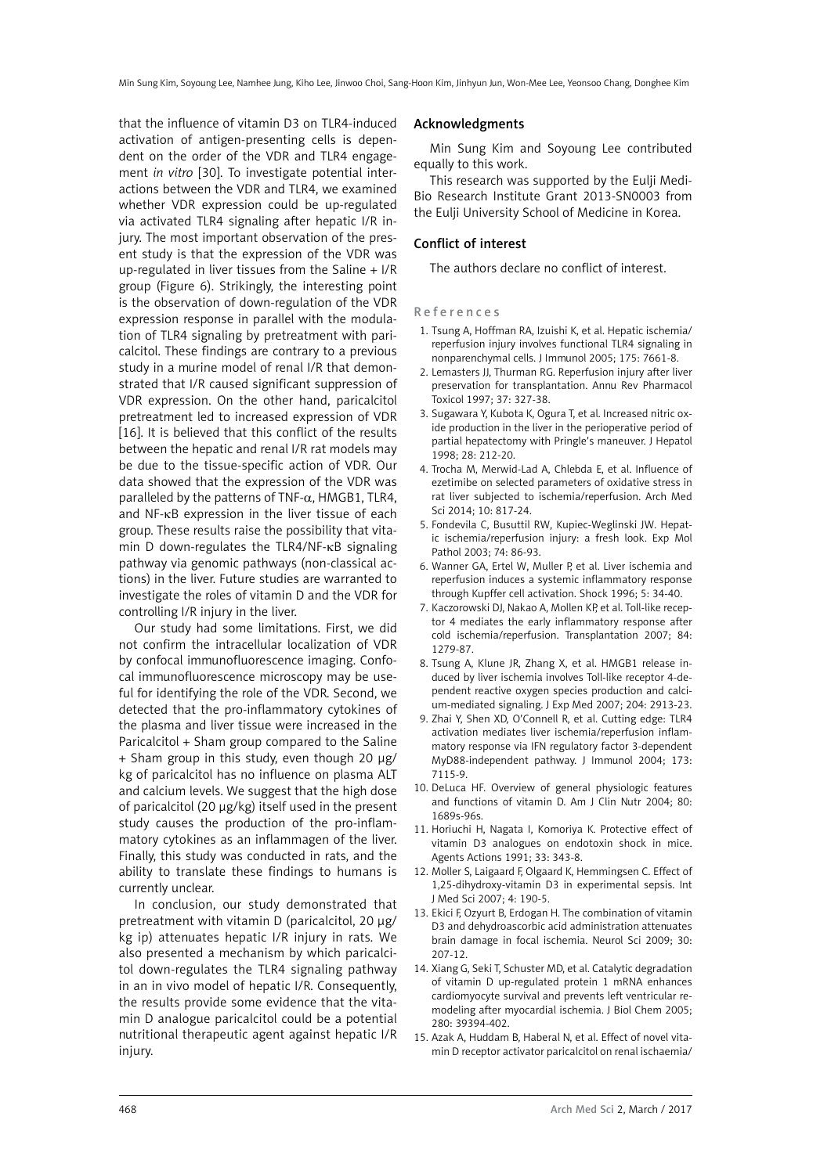that the influence of vitamin D3 on TLR4-induced activation of antigen-presenting cells is dependent on the order of the VDR and TLR4 engagement *in vitro* [30]. To investigate potential interactions between the VDR and TLR4, we examined whether VDR expression could be up-regulated via activated TLR4 signaling after hepatic I/R injury. The most important observation of the present study is that the expression of the VDR was up-regulated in liver tissues from the Saline  $+ I/R$ group (Figure 6). Strikingly, the interesting point is the observation of down-regulation of the VDR expression response in parallel with the modulation of TLR4 signaling by pretreatment with paricalcitol. These findings are contrary to a previous study in a murine model of renal I/R that demonstrated that I/R caused significant suppression of VDR expression. On the other hand, paricalcitol pretreatment led to increased expression of VDR [16]. It is believed that this conflict of the results between the hepatic and renal I/R rat models may be due to the tissue-specific action of VDR. Our data showed that the expression of the VDR was paralleled by the patterns of TNF- $\alpha$ , HMGB1, TLR4, and NF-κB expression in the liver tissue of each group. These results raise the possibility that vitamin D down-regulates the TLR4/NF-κB signaling pathway via genomic pathways (non-classical actions) in the liver. Future studies are warranted to investigate the roles of vitamin D and the VDR for controlling I/R injury in the liver.

Our study had some limitations. First, we did not confirm the intracellular localization of VDR by confocal immunofluorescence imaging. Confocal immunofluorescence microscopy may be useful for identifying the role of the VDR. Second, we detected that the pro-inflammatory cytokines of the plasma and liver tissue were increased in the Paricalcitol + Sham group compared to the Saline + Sham group in this study, even though 20 μg/ kg of paricalcitol has no influence on plasma ALT and calcium levels. We suggest that the high dose of paricalcitol (20 μg/kg) itself used in the present study causes the production of the pro-inflammatory cytokines as an inflammagen of the liver. Finally, this study was conducted in rats, and the ability to translate these findings to humans is currently unclear.

In conclusion, our study demonstrated that pretreatment with vitamin D (paricalcitol, 20 μg/ kg ip) attenuates hepatic I/R injury in rats. We also presented a mechanism by which paricalcitol down-regulates the TLR4 signaling pathway in an in vivo model of hepatic I/R. Consequently, the results provide some evidence that the vitamin D analogue paricalcitol could be a potential nutritional therapeutic agent against hepatic I/R injury.

#### Acknowledgments

Min Sung Kim and Soyoung Lee contributed equally to this work.

This research was supported by the Eulji Medi-Bio Research Institute Grant 2013-SN0003 from the Eulji University School of Medicine in Korea.

## Conflict of interest

The authors declare no conflict of interest.

References

- 1. Tsung A, Hoffman RA, Izuishi K, et al. Hepatic ischemia/ reperfusion injury involves functional TLR4 signaling in nonparenchymal cells. J Immunol 2005; 175: 7661-8.
- 2. Lemasters JJ, Thurman RG. Reperfusion injury after liver preservation for transplantation. Annu Rev Pharmacol Toxicol 1997; 37: 327-38.
- 3. Sugawara Y, Kubota K, Ogura T, et al. Increased nitric oxide production in the liver in the perioperative period of partial hepatectomy with Pringle's maneuver. J Hepatol 1998; 28: 212-20.
- 4. Trocha M, Merwid-Lad A, Chlebda E, et al. Influence of ezetimibe on selected parameters of oxidative stress in rat liver subjected to ischemia/reperfusion. Arch Med Sci 2014; 10: 817-24.
- 5. Fondevila C, Busuttil RW, Kupiec-Weglinski JW. Hepatic ischemia/reperfusion injury: a fresh look. Exp Mol Pathol 2003; 74: 86-93.
- 6. Wanner GA, Ertel W, Muller P, et al. Liver ischemia and reperfusion induces a systemic inflammatory response through Kupffer cell activation. Shock 1996; 5: 34-40.
- 7. Kaczorowski DJ, Nakao A, Mollen KP, et al. Toll-like receptor 4 mediates the early inflammatory response after cold ischemia/reperfusion. Transplantation 2007; 84: 1279-87.
- 8. Tsung A, Klune JR, Zhang X, et al. HMGB1 release induced by liver ischemia involves Toll-like receptor 4-dependent reactive oxygen species production and calcium-mediated signaling. J Exp Med 2007; 204: 2913-23.
- 9. Zhai Y, Shen XD, O'Connell R, et al. Cutting edge: TLR4 activation mediates liver ischemia/reperfusion inflammatory response via IFN regulatory factor 3-dependent MyD88-independent pathway. J Immunol 2004; 173: 7115-9.
- 10. DeLuca HF. Overview of general physiologic features and functions of vitamin D. Am J Clin Nutr 2004; 80: 1689s-96s.
- 11. Horiuchi H, Nagata I, Komoriya K. Protective effect of vitamin D3 analogues on endotoxin shock in mice. Agents Actions 1991; 33: 343-8.
- 12. Moller S, Laigaard F, Olgaard K, Hemmingsen C. Effect of 1,25-dihydroxy-vitamin D3 in experimental sepsis. Int J Med Sci 2007; 4: 190-5.
- 13. Ekici F, Ozyurt B, Erdogan H. The combination of vitamin D3 and dehydroascorbic acid administration attenuates brain damage in focal ischemia. Neurol Sci 2009; 30: 207-12.
- 14. Xiang G, Seki T, Schuster MD, et al. Catalytic degradation of vitamin D up-regulated protein 1 mRNA enhances cardiomyocyte survival and prevents left ventricular remodeling after myocardial ischemia. J Biol Chem 2005; 280: 39394-402.
- 15. Azak A, Huddam B, Haberal N, et al. Effect of novel vitamin D receptor activator paricalcitol on renal ischaemia/